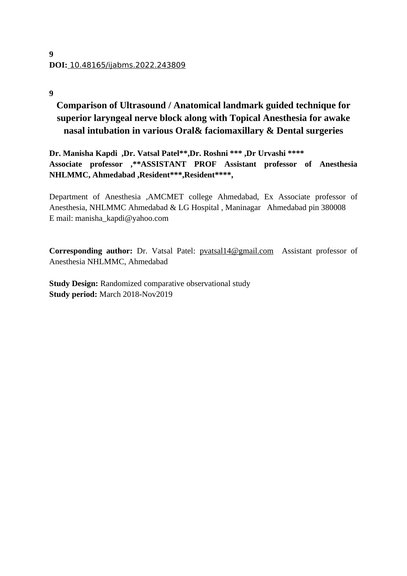## **9**

# **Comparison of Ultrasound / Anatomical landmark guided technique for superior laryngeal nerve block along with Topical Anesthesia for awake nasal intubation in various Oral& faciomaxillary & Dental surgeries**

**Dr. Manisha Kapdi ,Dr. Vatsal Patel\*\*,Dr. Roshni \*\*\* ,Dr Urvashi \*\*\*\* Associate professor ,\*\*ASSISTANT PROF Assistant professor of Anesthesia NHLMMC, Ahmedabad ,Resident\*\*\*,Resident\*\*\*\*,**

Department of Anesthesia ,AMCMET college Ahmedabad, Ex Associate professor of Anesthesia, NHLMMC Ahmedabad & LG Hospital , Maninagar Ahmedabad pin 380008 E mail: manisha\_kapdi@yahoo.com

Corresponding author: Dr. Vatsal Patel: [pvatsal14@gmail.com](mailto:pvatsal14@gmail.com) Assistant professor of Anesthesia NHLMMC, Ahmedabad

**Study Design:** Randomized comparative observational study **Study period:** March 2018-Nov2019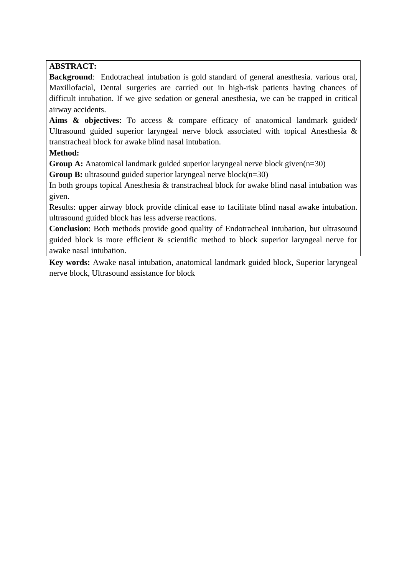# **ABSTRACT:**

**Background**: Endotracheal intubation is gold standard of general anesthesia. various oral, Maxillofacial, Dental surgeries are carried out in high-risk patients having chances of difficult intubation. If we give sedation or general anesthesia, we can be trapped in critical airway accidents.

**Aims & objectives**: To access & compare efficacy of anatomical landmark guided/ Ultrasound guided superior laryngeal nerve block associated with topical Anesthesia & transtracheal block for awake blind nasal intubation.

# **Method:**

**Group A:** Anatomical landmark guided superior laryngeal nerve block given(n=30)

**Group B:** ultrasound guided superior laryngeal nerve block(n=30)

In both groups topical Anesthesia & transtracheal block for awake blind nasal intubation was given.

Results: upper airway block provide clinical ease to facilitate blind nasal awake intubation. ultrasound guided block has less adverse reactions.

**Conclusion**: Both methods provide good quality of Endotracheal intubation, but ultrasound guided block is more efficient & scientific method to block superior laryngeal nerve for awake nasal intubation.

**Key words:** Awake nasal intubation, anatomical landmark guided block, Superior laryngeal nerve block, Ultrasound assistance for block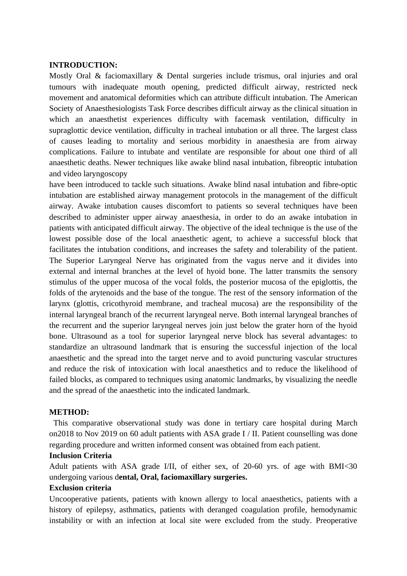#### **INTRODUCTION:**

Mostly Oral & faciomaxillary & Dental surgeries include trismus, oral injuries and oral tumours with inadequate mouth opening, predicted difficult airway, restricted neck movement and anatomical deformities which can attribute difficult intubation. The American Society of Anaesthesiologists Task Force describes difficult airway as the clinical situation in which an anaesthetist experiences difficulty with facemask ventilation, difficulty in supraglottic device ventilation, difficulty in tracheal intubation or all three. The largest class of causes leading to mortality and serious morbidity in anaesthesia are from airway complications. Failure to intubate and ventilate are responsible for about one third of all anaesthetic deaths. Newer techniques like awake blind nasal intubation, fibreoptic intubation and video laryngoscopy

have been introduced to tackle such situations. Awake blind nasal intubation and fibre-optic intubation are established airway management protocols in the management of the difficult airway. Awake intubation causes discomfort to patients so several techniques have been described to administer upper airway anaesthesia, in order to do an awake intubation in patients with anticipated difficult airway. The objective of the ideal technique is the use of the lowest possible dose of the local anaesthetic agent, to achieve a successful block that facilitates the intubation conditions, and increases the safety and tolerability of the patient. The Superior Laryngeal Nerve has originated from the vagus nerve and it divides into external and internal branches at the level of hyoid bone. The latter transmits the sensory stimulus of the upper mucosa of the vocal folds, the posterior mucosa of the epiglottis, the folds of the arytenoids and the base of the tongue. The rest of the sensory information of the larynx (glottis, cricothyroid membrane, and tracheal mucosa) are the responsibility of the internal laryngeal branch of the recurrent laryngeal nerve. Both internal laryngeal branches of the recurrent and the superior laryngeal nerves join just below the grater horn of the hyoid bone. Ultrasound as a tool for superior laryngeal nerve block has several advantages: to standardize an ultrasound landmark that is ensuring the successful injection of the local anaesthetic and the spread into the target nerve and to avoid puncturing vascular structures and reduce the risk of intoxication with local anaesthetics and to reduce the likelihood of failed blocks, as compared to techniques using anatomic landmarks, by visualizing the needle and the spread of the anaesthetic into the indicated landmark.

#### **METHOD:**

This comparative observational study was done in tertiary care hospital during March on2018 to Nov 2019 on 60 adult patients with ASA grade I / II. Patient counselling was done regarding procedure and written informed consent was obtained from each patient.

## **Inclusion Criteria**

Adult patients with ASA grade I/II, of either sex, of 20-60 yrs. of age with BMI<30 undergoing various d**ental, Oral, faciomaxillary surgeries.**

#### **Exclusion criteria**

Uncooperative patients, patients with known allergy to local anaesthetics, patients with a history of epilepsy, asthmatics, patients with deranged coagulation profile, hemodynamic instability or with an infection at local site were excluded from the study. Preoperative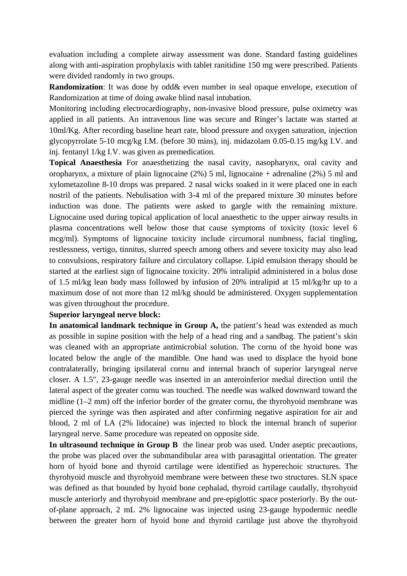evaluation including a complete airway assessment was done. Standard fasting guidelines along with anti-aspiration prophylaxis with tablet ranitidine 150 mg were prescribed. Patients were divided randomly in two groups.

**Randomization:** It was done by odd& even number in seal opaque envelope, execution of Randomization at time of doing awake blind nasal intubation.

Monitoring including electrocardiography, non-invasive blood pressure, pulse oximetry was applied in all patients. An intravenous line was secure and Ringer's lactate was started at 10ml/Kg. After recording baseline heart rate, blood pressure and oxygen saturation, injection glycopyrrolate 5-10 mcg/kg I.M. (before 30 mins), inj. midazolam 0.05-0.15 mg/kg I.V. and inj. fentanyl 1/kg I.V. was given as premedication.

**Topical Anaesthesia** For anaesthetizing the nasal cavity, nasopharynx, oral cavity and oropharynx, a mixture of plain lignocaine (2%) 5 ml, lignocaine + adrenaline (2%) 5 ml and xylometazoline 8-10 drops was prepared. 2 nasal wicks soaked in it were placed one in each nostril of the patients. Nebulisation with 3-4 ml of the prepared mixture 30 minutes before induction was done. The patients were asked to gargle with the remaining mixture. Lignocaine used during topical application of local anaesthetic to the upper airway results in plasma concentrations well below those that cause symptoms of toxicity (toxic level 6 mcg/ml). Symptoms of lignocaine toxicity include circumoral numbness, facial tingling, restlessness, vertigo, tinnitus, slurred speech among others and severe toxicity may also lead to convulsions, respiratory failure and circulatory collapse. Lipid emulsion therapy should be started at the earliest sign of lignocaine toxicity. 20% intralipid administered in a bolus dose of 1.5 ml/kg lean body mass followed by infusion of 20% intralipid at 15 ml/kg/hr up to a maximum dose of not more than 12 ml/kg should be administered. Oxygen supplementation was given throughout the procedure.

#### **Superior laryngeal nerve block:**

**In anatomical landmark technique in Group A,** the patient's head was extended as much as possible in supine position with the help of a head ring and a sandbag. The patient's skin was cleaned with an appropriate antimicrobial solution. The cornu of the hyoid bone was located below the angle of the mandible. One hand was used to displace the hyoid bone contralaterally, bringing ipsilateral cornu and internal branch of superior laryngeal nerve closer. A 1.5″, 23-gauge needle was inserted in an anteroinferior medial direction until the lateral aspect of the greater cornu was touched. The needle was walked downward toward the midline (1–2 mm) off the inferior border of the greater cornu, the thyrohyoid membrane was pierced the syringe was then aspirated and after confirming negative aspiration for air and blood, 2 ml of LA (2% lidocaine) was injected to block the internal branch of superior laryngeal nerve. Same procedure was repeated on opposite side.

**In ultrasound technique in Group B** the linear prob was used. Under aseptic precautions, the probe was placed over the submandibular area with parasagittal orientation. The greater horn of hyoid bone and thyroid cartilage were identified as hyperechoic structures. The thyrohyoid muscle and thyrohyoid membrane were between these two structures. SLN space was defined as that bounded by hyoid bone cephalad, thyroid cartilage caudally, thyrohyoid muscle anteriorly and thyrohyoid membrane and pre-epiglottic space posteriorly. By the outof-plane approach, 2 mL 2% lignocaine was injected using 23-gauge hypodermic needle between the greater horn of hyoid bone and thyroid cartilage just above the thyrohyoid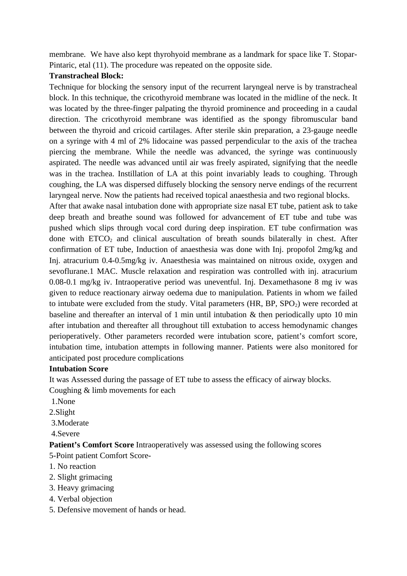membrane. We have also kept thyrohyoid membrane as a landmark for space like T. Stopar-Pintaric, etal (11). The procedure was repeated on the opposite side.

#### **Transtracheal Block:**

Technique for blocking the sensory input of the recurrent laryngeal nerve is by transtracheal block. In this technique, the cricothyroid membrane was located in the midline of the neck. It was located by the three-finger palpating the thyroid prominence and proceeding in a caudal direction. The cricothyroid membrane was identified as the spongy fibromuscular band between the thyroid and cricoid cartilages. After sterile skin preparation, a 23-gauge needle on a syringe with 4 ml of 2% lidocaine was passed perpendicular to the axis of the trachea piercing the membrane. While the needle was advanced, the syringe was continuously aspirated. The needle was advanced until air was freely aspirated, signifying that the needle was in the trachea. Instillation of LA at this point invariably leads to coughing. Through coughing, the LA was dispersed diffusely blocking the sensory nerve endings of the recurrent laryngeal nerve. Now the patients had received topical anaesthesia and two regional blocks.

After that awake nasal intubation done with appropriate size nasal ET tube, patient ask to take deep breath and breathe sound was followed for advancement of ET tube and tube was pushed which slips through vocal cord during deep inspiration. ET tube confirmation was done with  $ETCO<sub>2</sub>$  and clinical auscultation of breath sounds bilaterally in chest. After confirmation of ET tube, Induction of anaesthesia was done with Inj. propofol 2mg/kg and Inj. atracurium 0.4-0.5mg/kg iv. Anaesthesia was maintained on nitrous oxide, oxygen and sevoflurane.1 MAC. Muscle relaxation and respiration was controlled with inj. atracurium 0.08-0.1 mg/kg iv. Intraoperative period was uneventful. Inj. Dexamethasone 8 mg iv was given to reduce reactionary airway oedema due to manipulation. Patients in whom we failed to intubate were excluded from the study. Vital parameters (HR,  $BP$ ,  $SPO<sub>2</sub>$ ) were recorded at baseline and thereafter an interval of 1 min until intubation & then periodically upto 10 min after intubation and thereafter all throughout till extubation to access hemodynamic changes perioperatively. Other parameters recorded were intubation score, patient's comfort score, intubation time, intubation attempts in following manner. Patients were also monitored for anticipated post procedure complications

#### **Intubation Score**

It was Assessed during the passage of ET tube to assess the efficacy of airway blocks.

Coughing & limb movements for each

- 1.None
- 2.Slight
- 3.Moderate
- 4.Severe

**Patient's Comfort Score** Intraoperatively was assessed using the following scores 5-Point patient Comfort Score-

- 1. No reaction
- 2. Slight grimacing
- 3. Heavy grimacing
- 4. Verbal objection
- 5. Defensive movement of hands or head.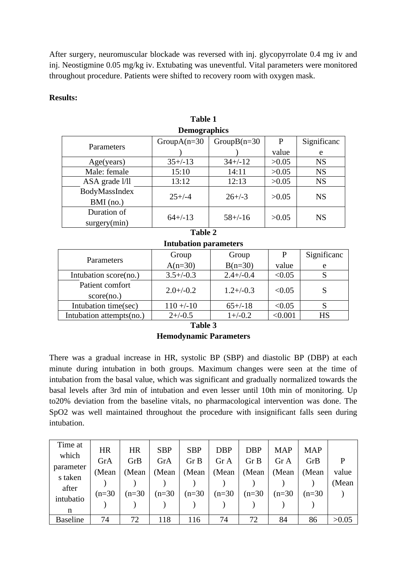After surgery, neuromuscular blockade was reversed with inj. glycopyrrolate 0.4 mg iv and inj. Neostigmine 0.05 mg/kg iv. Extubating was uneventful. Vital parameters were monitored throughout procedure. Patients were shifted to recovery room with oxygen mask.

#### **Results:**

| Demographics   |                |                |       |             |  |  |  |  |
|----------------|----------------|----------------|-------|-------------|--|--|--|--|
| Parameters     | $GroupA(n=30)$ | $GroupB(n=30)$ | P     | Significanc |  |  |  |  |
|                |                |                | value | e           |  |  |  |  |
| Age(years)     | $35+/-13$      | $34+/-12$      | >0.05 | <b>NS</b>   |  |  |  |  |
| Male: female   | 15:10          | 14:11          | >0.05 | <b>NS</b>   |  |  |  |  |
| ASA grade l/ll | 13:12          | 12:13          | >0.05 | <b>NS</b>   |  |  |  |  |
| BodyMassIndex  | $25+/-4$       | $26 + (-3)$    |       | <b>NS</b>   |  |  |  |  |
| BMI (no.)      |                |                | >0.05 |             |  |  |  |  |
| Duration of    |                |                |       |             |  |  |  |  |
| surgery(min)   | $64+/-13$      | $58+/-16$      | >0.05 | <b>NS</b>   |  |  |  |  |
|                |                |                |       |             |  |  |  |  |

#### **Table 1 Demographics**

## **Table 2**

**Intubation parameters**

|                          | Group          | Group          | P       | Significanc |  |
|--------------------------|----------------|----------------|---------|-------------|--|
| Parameters               | $A(n=30)$      | $B(n=30)$      | value   | e           |  |
| Intubation score(no.)    | $3.5+/-0.3$    | $2.4 + (-0.4)$ | < 0.05  |             |  |
| Patient comfort          | $2.0 + (-0.2)$ | $1.2 + (-0.3)$ | < 0.05  |             |  |
| score(no.)               |                |                |         |             |  |
| Intubation time(sec)     | $110 + -10$    | $65+/-18$      | < 0.05  |             |  |
| Intubation attempts(no.) | $2+/-0.5$      | $1+/-0.2$      | < 0.001 | <b>HS</b>   |  |

**Table 3**

## **Hemodynamic Parameters**

There was a gradual increase in HR, systolic BP (SBP) and diastolic BP (DBP) at each minute during intubation in both groups. Maximum changes were seen at the time of intubation from the basal value, which was significant and gradually normalized towards the basal levels after 3rd min of intubation and even lesser until 10th min of monitoring. Up to20% deviation from the baseline vitals, no pharmacological intervention was done. The SpO2 was well maintained throughout the procedure with insignificant falls seen during intubation.

| Time at         |          | <b>HR</b> |            | <b>SBP</b> |          |          |       | <b>MAP</b> |       |
|-----------------|----------|-----------|------------|------------|----------|----------|-------|------------|-------|
| which           | HR       |           | <b>SBP</b> |            | DBP      | DBP      | MAP   |            |       |
|                 | GrA      | GrB       | GrA        | Gr B       | Gr A     | Gr B     | Gr A  | GrB        | P     |
| parameter       | (Mean    | (Mean     | (Mean      | (Mean      | (Mean    | (Mean    | (Mean | (Mean      | value |
| s taken         |          |           |            |            |          |          |       |            | (Mean |
| after           | $(n=30)$ | $(n=30)$  | $(n=30)$   | $(n=30)$   | $(n=30)$ | $(n=30)$ | (n=30 | (n=30      |       |
| intubatio       |          |           |            |            |          |          |       |            |       |
| n               |          |           |            |            |          |          |       |            |       |
| <b>Baseline</b> | 74       | 72        | 118        | 116        | 74       | 72       | 84    | 86         | >0.05 |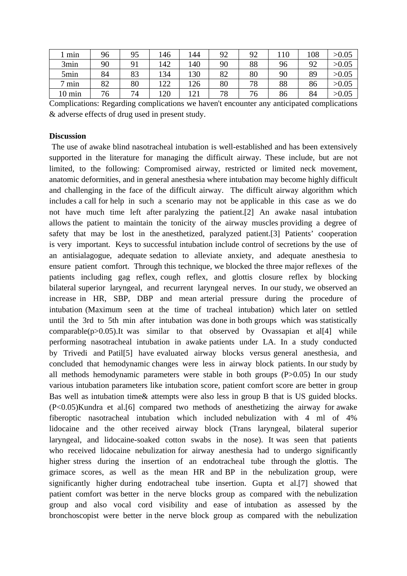| . min            | 96 | 95 | 146  | 144 | 92 | 92 | 110 | 108 | >0.05 |
|------------------|----|----|------|-----|----|----|-----|-----|-------|
| 3min             | 90 | 91 | 142  | 140 | 90 | 88 | 96  | 92  | >0.05 |
| 5min             | 84 | 83 | 134  | 130 | 82 | 80 | 90  | 89  | >0.05 |
| ⇁<br>min         | 82 | 80 | 122  | 126 | 80 | 78 | 88  | 86  | >0.05 |
| $10 \text{ min}$ | 76 | 74 | 1 ንበ | 121 | 78 | 76 | 86  | 84  | >0.05 |

Complications: Regarding complications we haven't encounter any anticipated complications & adverse effects of drug used in present study.

#### **Discussion**

 The use of awake blind nasotracheal intubation is well-established and has been extensively supported in the literature for managing the difficult airway. These include, but are not limited, to the following: Compromised airway, restricted or limited neck movement, anatomic deformities, and in general anesthesia where intubation may become highly difficult and challenging in the face of the difficult airway. The difficult airway algorithm which includes a call for help in such a scenario may not be applicable in this case as we do not have much time left after paralyzing the patient.[2] An awake nasal intubation allows the patient to maintain the tonicity of the airway muscles providing a degree of safety that may be lost in the anesthetized, paralyzed patient.[3] Patients' cooperation is very important. Keys to successful intubation include control of secretions by the use of an antisialagogue, adequate sedation to alleviate anxiety, and adequate anesthesia to ensure patient comfort. Through this technique, we blocked the three major reflexes of the patients including gag reflex, cough reflex, and glottis closure reflex by blocking bilateral superior laryngeal, and recurrent laryngeal nerves. In our study, we observed an increase in HR, SBP, DBP and mean arterial pressure during the procedure of intubation (Maximum seen at the time of tracheal intubation) which later on settled until the 3rd to 5th min after intubation was done in both groups which was statistically comparable( $p$ >0.05).It was similar to that observed by Ovassapian et al[4] while performing nasotracheal intubation in awake patients under LA. In a study conducted by Trivedi and Patil[5] have evaluated airway blocks versus general anesthesia, and concluded that hemodynamic changes were less in airway block patients. In our study by all methods hemodynamic parameters were stable in both groups (P>0.05) In our study various intubation parameters like intubation score, patient comfort score are better in group Bas well as intubation time& attempts were also less in group B that is US guided blocks. (P<0.05)Kundra et al.[6] compared two methods of anesthetizing the airway for awake fiberoptic nasotracheal intubation which included nebulization with 4 ml of 4% lidocaine and the other received airway block (Trans laryngeal, bilateral superior laryngeal, and lidocaine-soaked cotton swabs in the nose). It was seen that patients who received lidocaine nebulization for airway anesthesia had to undergo significantly higher stress during the insertion of an endotracheal tube through the glottis. The grimace scores, as well as the mean HR and BP in the nebulization group, were significantly higher during endotracheal tube insertion. Gupta et al.[7] showed that patient comfort was better in the nerve blocks group as compared with the nebulization group and also vocal cord visibility and ease of intubation as assessed by the bronchoscopist were better in the nerve block group as compared with the nebulization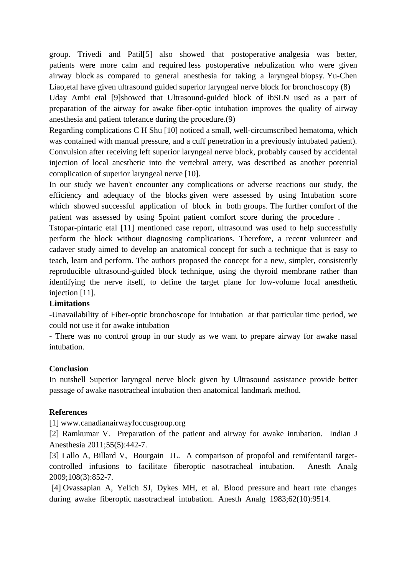group. Trivedi and Patil[5] also showed that postoperative analgesia was better, patients were more calm and required less postoperative nebulization who were given airway block as compared to general anesthesia for taking a laryngeal biopsy. Yu-Chen Liao,etal have given ultrasound guided superior laryngeal nerve block for bronchoscopy (8)

Uday Ambi etal [9]showed that Ultrasound-guided block of ibSLN used as a part of preparation of the airway for awake fiber-optic intubation improves the quality of airway anesthesia and patient tolerance during the procedure.(9)

Regarding complications C H Shu [10] noticed a small, well-circumscribed hematoma, which was contained with manual pressure, and a cuff penetration in a previously intubated patient). Convulsion after receiving left superior laryngeal nerve block, probably caused by accidental injection of local anesthetic into the vertebral artery, was described as another potential complication of superior laryngeal nerve [10].

In our study we haven't encounter any complications or adverse reactions our study, the efficiency and adequacy of the blocks given were assessed by using Intubation score which showed successful application of block in both groups. The further comfort of the patient was assessed by using 5point patient comfort score during the procedure .

Tstopar-pintaric etal [11] mentioned case report, ultrasound was used to help successfully perform the block without diagnosing complications. Therefore, a recent volunteer and cadaver study aimed to develop an anatomical concept for such a technique that is easy to teach, learn and perform. The authors proposed the concept for a new, simpler, consistently reproducible ultrasound-guided block technique, using the thyroid membrane rather than identifying the nerve itself, to define the target plane for low-volume local anesthetic injection [11].

## **Limitations**

-Unavailability of Fiber-optic bronchoscope for intubation at that particular time period, we could not use it for awake intubation

- There was no control group in our study as we want to prepare airway for awake nasal intubation.

#### **Conclusion**

In nutshell Superior laryngeal nerve block given by Ultrasound assistance provide better passage of awake nasotracheal intubation then anatomical landmark method.

#### **References**

[1] www.canadianairwayfoccusgroup.org

[2] Ramkumar V. Preparation of the patient and airway for awake intubation. Indian J Anesthesia 2011;55(5):442-7.

[3] Lallo A, Billard V, Bourgain JL. A comparison of propofol and remifentanil targetcontrolled infusions to facilitate fiberoptic nasotracheal intubation. Anesth Analg 2009;108(3):852-7.

 [4] Ovassapian A, Yelich SJ, Dykes MH, et al. Blood pressure and heart rate changes during awake fiberoptic nasotracheal intubation. Anesth Analg 1983;62(10):9514.